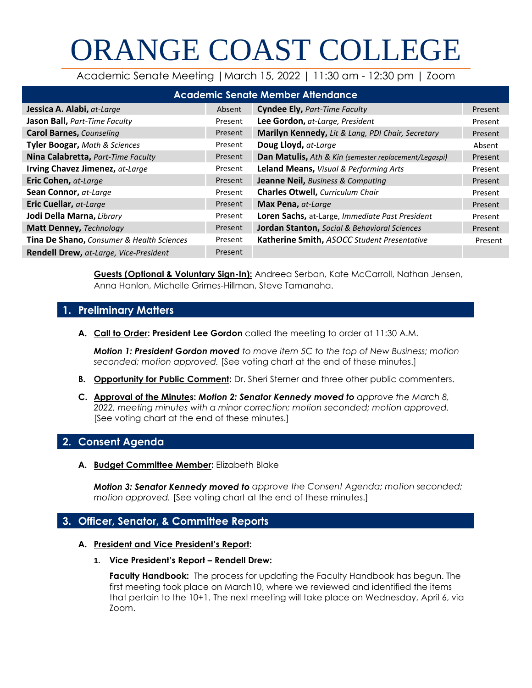# ORANGE COAST COLLEGE

Academic Senate Meeting |March 15, 2022 | 11:30 am - 12:30 pm | Zoom

| <b>Academic Senate Member Attendance</b>  |         |                                                       |         |  |  |  |
|-------------------------------------------|---------|-------------------------------------------------------|---------|--|--|--|
| Jessica A. Alabi, at-Large                | Absent  | <b>Cyndee Ely, Part-Time Faculty</b>                  | Present |  |  |  |
| Jason Ball, Part-Time Faculty             | Present | Lee Gordon, at-Large, President                       | Present |  |  |  |
| <b>Carol Barnes, Counseling</b>           | Present | Marilyn Kennedy, Lit & Lang, PDI Chair, Secretary     | Present |  |  |  |
| <b>Tyler Boogar, Math &amp; Sciences</b>  | Present | Doug Lloyd, at-Large                                  | Absent  |  |  |  |
| Nina Calabretta, Part-Time Faculty        | Present | Dan Matulis, Ath & Kin (semester replacement/Legaspi) | Present |  |  |  |
| Irving Chavez Jimenez, at-Large           | Present | Leland Means, Visual & Performing Arts                | Present |  |  |  |
| Eric Cohen, at-Large                      | Present | <b>Jeanne Neil, Business &amp; Computing</b>          | Present |  |  |  |
| Sean Connor, at-Large                     | Present | <b>Charles Otwell, Curriculum Chair</b>               | Present |  |  |  |
| Eric Cuellar, at-Large                    | Present | Max Pena, at-Large                                    | Present |  |  |  |
| Jodi Della Marna, Library                 | Present | Loren Sachs, at-Large, Immediate Past President       | Present |  |  |  |
| <b>Matt Denney, Technology</b>            | Present | Jordan Stanton, Social & Behavioral Sciences          | Present |  |  |  |
| Tina De Shano, Consumer & Health Sciences | Present | Katherine Smith, ASOCC Student Presentative           | Present |  |  |  |
| Rendell Drew, at-Large, Vice-President    | Present |                                                       |         |  |  |  |

**Guests (Optional & Voluntary Sign-In):** Andreea Serban, Kate McCarroll, Nathan Jensen, Anna Hanlon, Michelle Grimes-Hillman, Steve Tamanaha.

# **1. Preliminary Matters**

**A. Call to Order: President Lee Gordon** called the meeting to order at 11:30 A.M.

*Motion 1: President Gordon moved to move item 5C to the top of New Business; motion seconded; motion approved.* [See voting chart at the end of these minutes.]

- **B. Opportunity for Public Comment:** Dr. Sheri Sterner and three other public commenters.
- **C. Approval of the Minutes:** *Motion 2: Senator Kennedy moved to approve the March 8, 2022, meeting minutes with a minor correction; motion seconded; motion approved.* [See voting chart at the end of these minutes.]

# **2. Consent Agenda**

**A. Budget Committee Member:** Elizabeth Blake

*Motion 3: Senator Kennedy moved to approve the Consent Agenda; motion seconded; motion approved.* [See voting chart at the end of these minutes.]

# **3. Officer, Senator, & Committee Reports**

#### **A. President and Vice President's Report:**

**1. Vice President's Report – Rendell Drew:**

**Faculty Handbook:** The process for updating the Faculty Handbook has begun. The first meeting took place on March10, where we reviewed and identified the items that pertain to the 10+1. The next meeting will take place on Wednesday, April 6, via Zoom.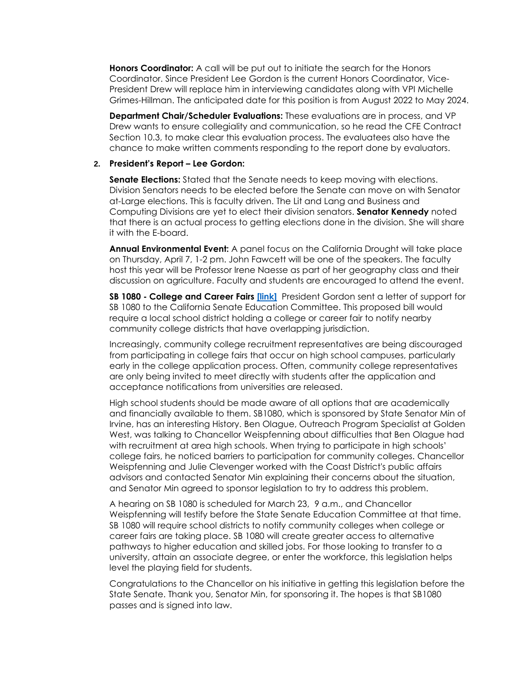**Honors Coordinator:** A call will be put out to initiate the search for the Honors Coordinator. Since President Lee Gordon is the current Honors Coordinator, Vice-President Drew will replace him in interviewing candidates along with VPI Michelle Grimes-Hillman. The anticipated date for this position is from August 2022 to May 2024.

**Department Chair/Scheduler Evaluations:** These evaluations are in process, and VP Drew wants to ensure collegiality and communication, so he read the CFE Contract Section 10.3, to make clear this evaluation process. The evaluatees also have the chance to make written comments responding to the report done by evaluators.

#### **2. President's Report – Lee Gordon:**

**Senate Elections:** Stated that the Senate needs to keep moving with elections. Division Senators needs to be elected before the Senate can move on with Senator at-Large elections. This is faculty driven. The Lit and Lang and Business and Computing Divisions are yet to elect their division senators. **Senator Kennedy** noted that there is an actual process to getting elections done in the division. She will share it with the E-board.

**Annual Environmental Event:** A panel focus on the California Drought will take place on Thursday, April 7, 1-2 pm. John Fawcett will be one of the speakers. The faculty host this year will be Professor Irene Naesse as part of her geography class and their discussion on agriculture. Faculty and students are encouraged to attend the event.

**SB 1080 - College and Career Fairs [\[link\]](https://leginfo.legislature.ca.gov/faces/billNavClient.xhtml?bill_id=202120220SB1080)** President Gordon sent a letter of support for SB 1080 to the California Senate Education Committee. This proposed bill would require a local school district holding a college or career fair to notify nearby community college districts that have overlapping jurisdiction.

Increasingly, community college recruitment representatives are being discouraged from participating in college fairs that occur on high school campuses, particularly early in the college application process. Often, community college representatives are only being invited to meet directly with students after the application and acceptance notifications from universities are released.

High school students should be made aware of all options that are academically and financially available to them. SB1080, which is sponsored by State Senator Min of Irvine, has an interesting History. Ben Olague, Outreach Program Specialist at Golden West, was talking to Chancellor Weispfenning about difficulties that Ben Olague had with recruitment at area high schools. When trying to participate in high schools' college fairs, he noticed barriers to participation for community colleges. Chancellor Weispfenning and Julie Clevenger worked with the Coast District's public affairs advisors and contacted Senator Min explaining their concerns about the situation, and Senator Min agreed to sponsor legislation to try to address this problem.

A hearing on SB 1080 is scheduled for March 23, 9 a.m., and Chancellor Weispfenning will testify before the State Senate Education Committee at that time. SB 1080 will require school districts to notify community colleges when college or career fairs are taking place. SB 1080 will create greater access to alternative pathways to higher education and skilled jobs. For those looking to transfer to a university, attain an associate degree, or enter the workforce, this legislation helps level the playing field for students.

Congratulations to the Chancellor on his initiative in getting this legislation before the State Senate. Thank you, Senator Min, for sponsoring it. The hopes is that SB1080 passes and is signed into law.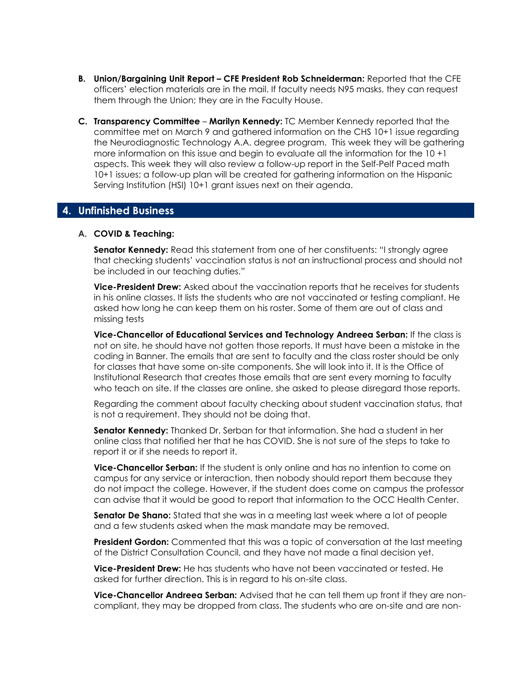- **B. Union/Bargaining Unit Report – CFE President Rob Schneiderman:** Reported that the CFE officers' election materials are in the mail. If faculty needs N95 masks, they can request them through the Union; they are in the Faculty House.
- **C. Transparency Committee Marilyn Kennedy:** TC Member Kennedy reported that the committee met on March 9 and gathered information on the CHS 10+1 issue regarding the Neurodiagnostic Technology A.A. degree program. This week they will be gathering more information on this issue and begin to evaluate all the information for the 10 +1 aspects. This week they will also review a follow-up report in the Self-Pelf Paced math 10+1 issues; a follow-up plan will be created for gathering information on the Hispanic Serving Institution (HSI) 10+1 grant issues next on their agenda.

## **4. Unfinished Business**

#### **A. COVID & Teaching:**

**Senator Kennedy:** Read this statement from one of her constituents: "I strongly agree that checking students' vaccination status is not an instructional process and should not be included in our teaching duties."

**Vice-President Drew:** Asked about the vaccination reports that he receives for students in his online classes. It lists the students who are not vaccinated or testing compliant. He asked how long he can keep them on his roster. Some of them are out of class and missing tests

**Vice-Chancellor of Educational Services and Technology Andreea Serban:** If the class is not on site, he should have not gotten those reports. It must have been a mistake in the coding in Banner. The emails that are sent to faculty and the class roster should be only for classes that have some on-site components. She will look into it. It is the Office of Institutional Research that creates those emails that are sent every morning to faculty who teach on site. If the classes are online, she asked to please disregard those reports.

Regarding the comment about faculty checking about student vaccination status, that is not a requirement. They should not be doing that.

**Senator Kennedy:** Thanked Dr. Serban for that information. She had a student in her online class that notified her that he has COVID. She is not sure of the steps to take to report it or if she needs to report it.

**Vice-Chancellor Serban:** If the student is only online and has no intention to come on campus for any service or interaction, then nobody should report them because they do not impact the college. However, if the student does come on campus the professor can advise that it would be good to report that information to the OCC Health Center.

**Senator De Shano:** Stated that she was in a meeting last week where a lot of people and a few students asked when the mask mandate may be removed.

**President Gordon:** Commented that this was a topic of conversation at the last meeting of the District Consultation Council, and they have not made a final decision yet.

**Vice-President Drew:** He has students who have not been vaccinated or tested. He asked for further direction. This is in regard to his on-site class.

**Vice-Chancellor Andreea Serban:** Advised that he can tell them up front if they are noncompliant, they may be dropped from class. The students who are on-site and are non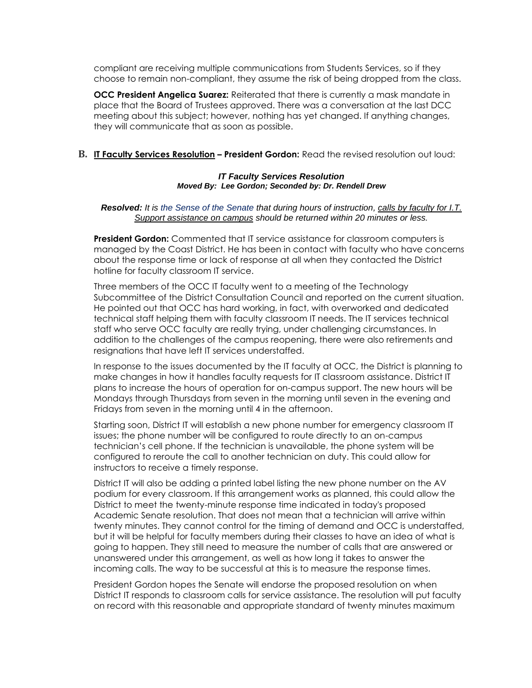compliant are receiving multiple communications from Students Services, so if they choose to remain non-compliant, they assume the risk of being dropped from the class.

**OCC President Angelica Suarez:** Reiterated that there is currently a mask mandate in place that the Board of Trustees approved. There was a conversation at the last DCC meeting about this subject; however, nothing has yet changed. If anything changes, they will communicate that as soon as possible.

#### **B. IT Faculty Services Resolution – President Gordon:** Read the revised resolution out loud:

#### *IT Faculty Services Resolution Moved By: Lee Gordon; Seconded by: Dr. Rendell Drew*

#### *Resolved: It is the Sense of the Senate that during hours of instruction, calls by faculty for I.T. Support assistance on campus should be returned within 20 minutes or less.*

**President Gordon:** Commented that IT service assistance for classroom computers is managed by the Coast District. He has been in contact with faculty who have concerns about the response time or lack of response at all when they contacted the District hotline for faculty classroom IT service.

Three members of the OCC IT faculty went to a meeting of the Technology Subcommittee of the District Consultation Council and reported on the current situation. He pointed out that OCC has hard working, in fact, with overworked and dedicated technical staff helping them with faculty classroom IT needs. The IT services technical staff who serve OCC faculty are really trying, under challenging circumstances. In addition to the challenges of the campus reopening, there were also retirements and resignations that have left IT services understaffed.

In response to the issues documented by the IT faculty at OCC, the District is planning to make changes in how it handles faculty requests for IT classroom assistance. District IT plans to increase the hours of operation for on-campus support. The new hours will be Mondays through Thursdays from seven in the morning until seven in the evening and Fridays from seven in the morning until 4 in the afternoon.

Starting soon, District IT will establish a new phone number for emergency classroom IT issues; the phone number will be configured to route directly to an on-campus technician's cell phone. If the technician is unavailable, the phone system will be configured to reroute the call to another technician on duty. This could allow for instructors to receive a timely response.

District IT will also be adding a printed label listing the new phone number on the AV podium for every classroom. If this arrangement works as planned, this could allow the District to meet the twenty-minute response time indicated in today's proposed Academic Senate resolution. That does not mean that a technician will arrive within twenty minutes. They cannot control for the timing of demand and OCC is understaffed, but it will be helpful for faculty members during their classes to have an idea of what is going to happen. They still need to measure the number of calls that are answered or unanswered under this arrangement, as well as how long it takes to answer the incoming calls. The way to be successful at this is to measure the response times.

President Gordon hopes the Senate will endorse the proposed resolution on when District IT responds to classroom calls for service assistance. The resolution will put faculty on record with this reasonable and appropriate standard of twenty minutes maximum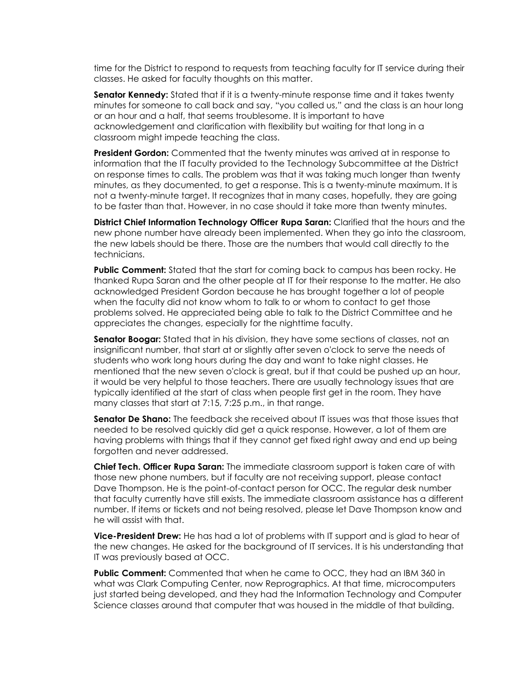time for the District to respond to requests from teaching faculty for IT service during their classes. He asked for faculty thoughts on this matter.

**Senator Kennedy:** Stated that if it is a twenty-minute response time and it takes twenty minutes for someone to call back and say, "you called us," and the class is an hour long or an hour and a half, that seems troublesome. It is important to have acknowledgement and clarification with flexibility but waiting for that long in a classroom might impede teaching the class.

**President Gordon:** Commented that the twenty minutes was arrived at in response to information that the IT faculty provided to the Technology Subcommittee at the District on response times to calls. The problem was that it was taking much longer than twenty minutes, as they documented, to get a response. This is a twenty-minute maximum. It is not a twenty-minute target. It recognizes that in many cases, hopefully, they are going to be faster than that. However, in no case should it take more than twenty minutes.

**District Chief Information Technology Officer Rupa Saran:** Clarified that the hours and the new phone number have already been implemented. When they go into the classroom, the new labels should be there. Those are the numbers that would call directly to the technicians.

**Public Comment:** Stated that the start for coming back to campus has been rocky. He thanked Rupa Saran and the other people at IT for their response to the matter. He also acknowledged President Gordon because he has brought together a lot of people when the faculty did not know whom to talk to or whom to contact to get those problems solved. He appreciated being able to talk to the District Committee and he appreciates the changes, especially for the nighttime faculty.

**Senator Boogar:** Stated that in his division, they have some sections of classes, not an insignificant number, that start at or slightly after seven o'clock to serve the needs of students who work long hours during the day and want to take night classes. He mentioned that the new seven o'clock is great, but if that could be pushed up an hour, it would be very helpful to those teachers. There are usually technology issues that are typically identified at the start of class when people first get in the room. They have many classes that start at 7:15, 7:25 p.m., in that range.

**Senator De Shano:** The feedback she received about IT issues was that those issues that needed to be resolved quickly did get a quick response. However, a lot of them are having problems with things that if they cannot get fixed right away and end up being forgotten and never addressed.

**Chief Tech. Officer Rupa Saran:** The immediate classroom support is taken care of with those new phone numbers, but if faculty are not receiving support, please contact Dave Thompson. He is the point-of-contact person for OCC. The regular desk number that faculty currently have still exists. The immediate classroom assistance has a different number. If items or tickets and not being resolved, please let Dave Thompson know and he will assist with that.

**Vice-President Drew:** He has had a lot of problems with IT support and is glad to hear of the new changes. He asked for the background of IT services. It is his understanding that IT was previously based at OCC.

**Public Comment:** Commented that when he came to OCC, they had an IBM 360 in what was Clark Computing Center, now Reprographics. At that time, microcomputers just started being developed, and they had the Information Technology and Computer Science classes around that computer that was housed in the middle of that building.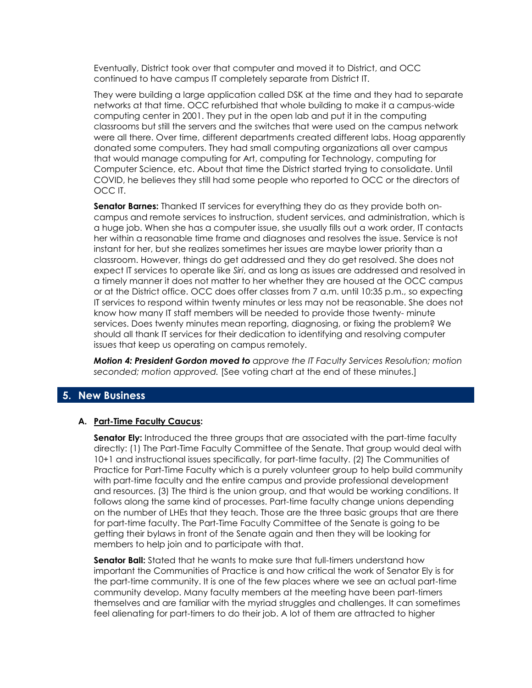Eventually, District took over that computer and moved it to District, and OCC continued to have campus IT completely separate from District IT.

They were building a large application called DSK at the time and they had to separate networks at that time. OCC refurbished that whole building to make it a campus-wide computing center in 2001. They put in the open lab and put it in the computing classrooms but still the servers and the switches that were used on the campus network were all there. Over time, different departments created different labs. Hoag apparently donated some computers. They had small computing organizations all over campus that would manage computing for Art, computing for Technology, computing for Computer Science, etc. About that time the District started trying to consolidate. Until COVID, he believes they still had some people who reported to OCC or the directors of OCC IT.

**Senator Barnes:** Thanked IT services for everything they do as they provide both oncampus and remote services to instruction, student services, and administration, which is a huge job. When she has a computer issue, she usually fills out a work order, IT contacts her within a reasonable time frame and diagnoses and resolves the issue. Service is not instant for her, but she realizes sometimes her issues are maybe lower priority than a classroom. However, things do get addressed and they do get resolved. She does not expect IT services to operate like *Siri*, and as long as issues are addressed and resolved in a timely manner it does not matter to her whether they are housed at the OCC campus or at the District office. OCC does offer classes from 7 a.m. until 10:35 p.m., so expecting IT services to respond within twenty minutes or less may not be reasonable. She does not know how many IT staff members will be needed to provide those twenty- minute services. Does twenty minutes mean reporting, diagnosing, or fixing the problem? We should all thank IT services for their dedication to identifying and resolving computer issues that keep us operating on campus remotely.

*Motion 4: President Gordon moved to approve the IT Faculty Services Resolution; motion seconded; motion approved.* [See voting chart at the end of these minutes.]

# **5. New Business**

#### **A. Part-Time Faculty Caucus:**

**Senator Ely:** Introduced the three groups that are associated with the part-time faculty directly: (1) The Part-Time Faculty Committee of the Senate. That group would deal with 10+1 and instructional issues specifically, for part-time faculty. (2) The Communities of Practice for Part-Time Faculty which is a purely volunteer group to help build community with part-time faculty and the entire campus and provide professional development and resources. (3) The third is the union group, and that would be working conditions. It follows along the same kind of processes. Part-time faculty change unions depending on the number of LHEs that they teach. Those are the three basic groups that are there for part-time faculty. The Part-Time Faculty Committee of the Senate is going to be getting their bylaws in front of the Senate again and then they will be looking for members to help join and to participate with that.

**Senator Ball:** Stated that he wants to make sure that full-timers understand how important the Communities of Practice is and how critical the work of Senator Ely is for the part-time community. It is one of the few places where we see an actual part-time community develop. Many faculty members at the meeting have been part-timers themselves and are familiar with the myriad struggles and challenges. It can sometimes feel alienating for part-timers to do their job. A lot of them are attracted to higher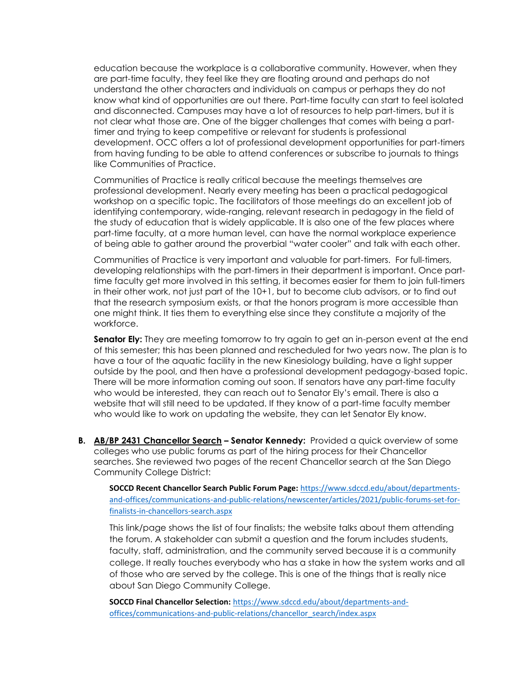education because the workplace is a collaborative community. However, when they are part-time faculty, they feel like they are floating around and perhaps do not understand the other characters and individuals on campus or perhaps they do not know what kind of opportunities are out there. Part-time faculty can start to feel isolated and disconnected. Campuses may have a lot of resources to help part-timers, but it is not clear what those are. One of the bigger challenges that comes with being a parttimer and trying to keep competitive or relevant for students is professional development. OCC offers a lot of professional development opportunities for part-timers from having funding to be able to attend conferences or subscribe to journals to things like Communities of Practice.

Communities of Practice is really critical because the meetings themselves are professional development. Nearly every meeting has been a practical pedagogical workshop on a specific topic. The facilitators of those meetings do an excellent job of identifying contemporary, wide-ranging, relevant research in pedagogy in the field of the study of education that is widely applicable. It is also one of the few places where part-time faculty, at a more human level, can have the normal workplace experience of being able to gather around the proverbial "water cooler" and talk with each other.

Communities of Practice is very important and valuable for part-timers. For full-timers, developing relationships with the part-timers in their department is important. Once parttime faculty get more involved in this setting, it becomes easier for them to join full-timers in their other work, not just part of the 10+1, but to become club advisors, or to find out that the research symposium exists, or that the honors program is more accessible than one might think. It ties them to everything else since they constitute a majority of the workforce.

**Senator Ely:** They are meeting tomorrow to try again to get an in-person event at the end of this semester; this has been planned and rescheduled for two years now. The plan is to have a tour of the aquatic facility in the new Kinesiology building, have a light supper outside by the pool, and then have a professional development pedagogy-based topic. There will be more information coming out soon. If senators have any part-time faculty who would be interested, they can reach out to Senator Ely's email. There is also a website that will still need to be updated. If they know of a part-time faculty member who would like to work on updating the website, they can let Senator Ely know.

**B. AB/BP 2431 Chancellor Search – Senator Kennedy:** Provided a quick overview of some colleges who use public forums as part of the hiring process for their Chancellor searches. She reviewed two pages of the recent Chancellor search at the San Diego Community College District:

**SOCCD Recent Chancellor Search Public Forum Page:** [https://www.sdccd.edu/about/departments](https://www.sdccd.edu/about/departments-and-offices/communications-and-public-relations/newscenter/articles/2021/public-forums-set-for-finalists-in-chancellors-search.aspx)[and-offices/communications-and-public-relations/newscenter/articles/2021/public-forums-set-for](https://www.sdccd.edu/about/departments-and-offices/communications-and-public-relations/newscenter/articles/2021/public-forums-set-for-finalists-in-chancellors-search.aspx)[finalists-in-chancellors-search.aspx](https://www.sdccd.edu/about/departments-and-offices/communications-and-public-relations/newscenter/articles/2021/public-forums-set-for-finalists-in-chancellors-search.aspx)

This link/page shows the list of four finalists; the website talks about them attending the forum. A stakeholder can submit a question and the forum includes students, faculty, staff, administration, and the community served because it is a community college. It really touches everybody who has a stake in how the system works and all of those who are served by the college. This is one of the things that is really nice about San Diego Community College.

**SOCCD Final Chancellor Selection:** [https://www.sdccd.edu/about/departments-and](https://www.sdccd.edu/about/departments-and-offices/communications-and-public-relations/chancellor_search/index.aspx)[offices/communications-and-public-relations/chancellor\\_search/index.aspx](https://www.sdccd.edu/about/departments-and-offices/communications-and-public-relations/chancellor_search/index.aspx)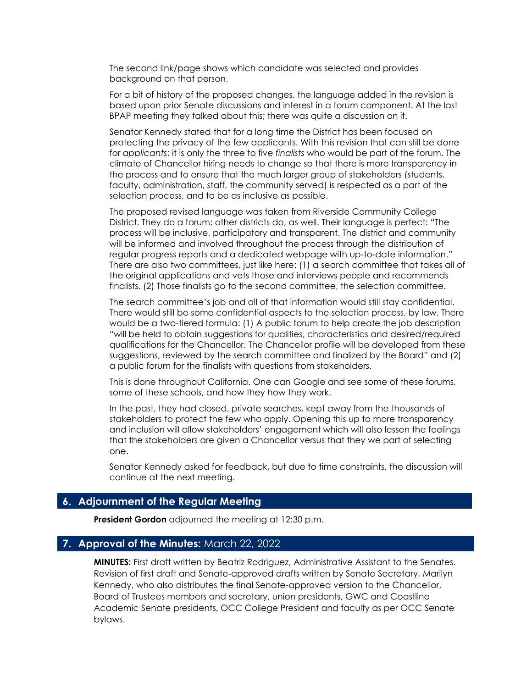The second link/page shows which candidate was selected and provides background on that person.

For a bit of history of the proposed changes, the language added in the revision is based upon prior Senate discussions and interest in a forum component. At the last BPAP meeting they talked about this; there was quite a discussion on it.

Senator Kennedy stated that for a long time the District has been focused on protecting the privacy of the few applicants. With this revision that can still be done for *applicants*; it is only the three to five *finalists* who would be part of the forum. The climate of Chancellor hiring needs to change so that there is more transparency in the process and to ensure that the much larger group of stakeholders (students, faculty, administration, staff, the community served) is respected as a part of the selection process, and to be as inclusive as possible.

The proposed revised language was taken from Riverside Community College District. They do a forum; other districts do, as well. Their language is perfect: "The process will be inclusive, participatory and transparent. The district and community will be informed and involved throughout the process through the distribution of regular progress reports and a dedicated webpage with up-to-date information." There are also two committees, just like here: (1) a search committee that takes all of the original applications and vets those and interviews people and recommends finalists. (2) Those finalists go to the second committee, the selection committee.

The search committee's job and all of that information would still stay confidential. There would still be some confidential aspects to the selection process, by law. There would be a two-tiered formula: (1) A public forum to help create the job description "will be held to obtain suggestions for qualities, characteristics and desired/required qualifications for the Chancellor. The Chancellor profile will be developed from these suggestions, reviewed by the search committee and finalized by the Board" and (2) a public forum for the finalists with questions from stakeholders.

This is done throughout California. One can Google and see some of these forums, some of these schools, and how they how they work.

In the past, they had closed, private searches, kept away from the thousands of stakeholders to protect the few who apply. Opening this up to more transparency and inclusion will allow stakeholders' engagement which will also lessen the feelings that the stakeholders are given a Chancellor versus that they we part of selecting one.

Senator Kennedy asked for feedback, but due to time constraints, the discussion will continue at the next meeting.

### **6. Adjournment of the Regular Meeting**

**President Gordon** adjourned the meeting at 12:30 p.m.

#### **7. Approval of the Minutes:** March 22, 2022

**MINUTES:** First draft written by Beatriz Rodriguez, Administrative Assistant to the Senates. Revision of first draft and Senate-approved drafts written by Senate Secretary, Marilyn Kennedy, who also distributes the final Senate-approved version to the Chancellor, Board of Trustees members and secretary, union presidents, GWC and Coastline Academic Senate presidents, OCC College President and faculty as per OCC Senate bylaws.